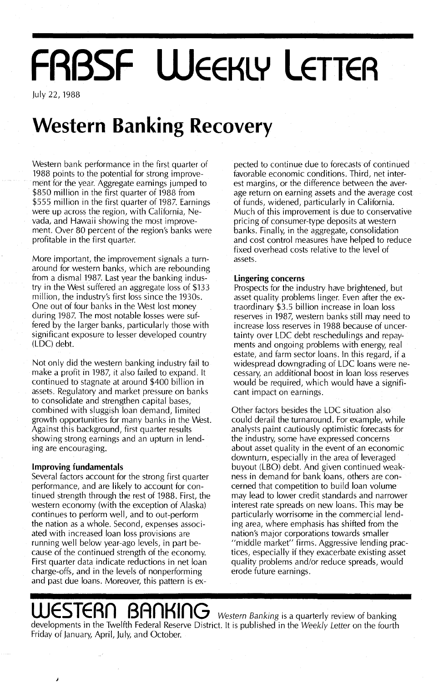# **FRBSF WEEKLY LETTER**

July 22, 1988

## **Western Banking Recovery**

Western bank performance in the first quarter of 1988 points to the potential for strong improvement for the year. Aggregate earnings jumped to \$850 million in the first quarter of 1988 from \$555 million in the first quarter of 1987. Earnings were up across the region, with California, Nevada, and Hawaii showing the most improvement. Over 80 percent of the region's banks were profitable in the first quarter.

More important, the improvement signals a turnaround for western banks, which are rebounding from a dismal 1987. Last year the banking industry in the West suffered an aggregate loss of \$133 million, the industry's first loss since the 1930s. One out of four banks in the West lost money during 1987. The most notable losses were suffered by the larger banks, particularly those with significant exposure to lesser developed country (LDC) debt.

Not only did the western banking industry fail to make a profit in 1987, it also failed to expand. It continued to stagnate at around \$400 billion in assets. Regulatory and market pressure on banks to consolidate and strengthen capital bases, combined with sluggish loan demand, limited growth opportunities for many banks in the West. Against this background, first quarter results showing strong earnings and an upturn in lending are encouraging.

#### **Improving fundamentals**

Several factors account for the strong first quarter performance, and are likely to account for continued strength through the rest of 1988. First, the western economy (with the exception of Alaska) continues to perform well, and to out-perform the nation as a whole. Second, expenses associated with increased loan loss provisions are running well below year-ago levels, in part because of the continued strength of the economy. First quarter data indicate reductions in net loan charge-offs, and in the levels of nonperforming and past due loans. Moreover, this pattern is ex-

pected to continue due to forecasts of continued favorable economic conditions. Third, net interest margins, or the difference between the average return on earning assets and the average cost of funds, widened, particularly in California. Much of this improvement is due to conservative pricing of consumer-type deposits at western banks. Finally, in the aggregate, consolidation and cost control measures have helped to reduce fixed overhead costs relative to the level of assets.

#### **Lingering concerns**

Prospects for the industry have brightened, but asset quality problems linger. Even after the extraordinary \$3.5 billion increase in loan loss reserves in 1987, western banks still may need to increase loss reserves in 1988 because of uncertainty over LDC debt reschedulings and repayments and ongoing problems with energy, real estate, and farm sector loans. In this regard, if a widespread downgrading of LDC loans were necessary, an additional boost in loan loss reserves would be required, which would have a significant impact on earnings.

Other factors besides the LDC situation also could derail the turnaround. For example, while analysts paint cautiously optimistic forecasts for the industry, some have expressed concerns about asset quality in the event of an economic downturn, especially in the area of leveraged buyout (LBO) debt. And given continued weakness in demand for bank loans, others are concerned that competition to build loan volume may lead to lower credit standards and narrower interest rate spreads on new loans. This may be particularly worrisome in the commercial lending area, where emphasis has shifted from the nation's major corporations towards smaller "middle market" firms. Aggressive lending practices, especially if they exacerbate existing asset quality problems and/or reduce spreads, would erode future earnings.

## JESTERN BANKING Western Banking is a quarterly review of banking

developments in the Twelfth Federal Reserve District. It is published in the Weekly Letter on the fourth Friday of January, April, July, and October.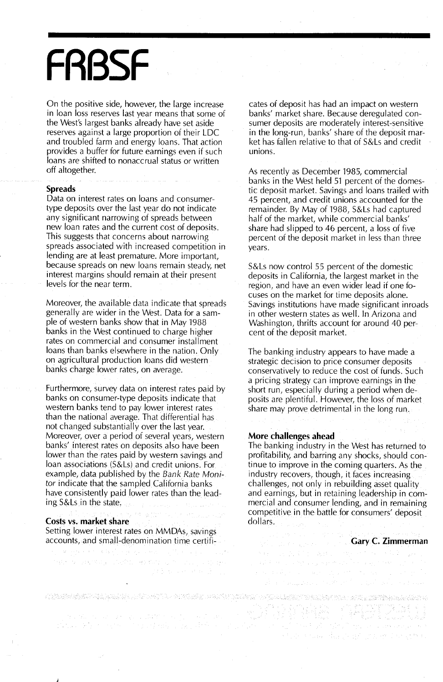## **FRBSF**

On the positive side, however, the large increase in loan loss reserves last year means that some of the West's largest banks already have set aside reserves against a large proportion of their LDC and troubled farm and energy loans. That action provides a buffer for future earnings even if such loans are shifted to nonaccrual status or written off altogether.

#### **Spreads**

Data on interest rates on loans and consumertype deposits over the last year do not indicate any significant narrowing of spreads between new loan rates and the current cost of deposits. This suggests that concerns about narrowing spreads associated with increased competition in lending are at least premature. More important, because spreads on new loans remain steady, net interest margins should remain at their present levels for the near term.

Moreover, the available data indicate that spreads generally are wider in the West. Data for a sample of western banks show that in May 1988 banks in the West continued to charge higher rates on commercial and consumer installment loans than banks elsewhere in the nation. Only on agricultural production loans did western banks charge lower rates, on average.

Furthermore, survey data on interest rates paid by banks on consumer-type deposits indicate that western banks tend to pay lower interest rates than the national average. That differential has not changed substantially over the last year. Moreover, over a period of several years, western banks' interest rates on deposits also have been lower than the rates paid by western savings and loan associations (S&Ls) and credit unions. For example,.data published by the *Bank Rate Moni*tor indicate that the sampled California banks have consistently paid lower rates than the leading S&Lsin the state.

#### **Costs vs. market share**

Setting lower interest rates on MMDAs, savings accounts, and small-denomination time certifi-

 $\mathcal{F}_{\alpha}=\{F_{\alpha}^{(1)}\}_{\alpha=1}^{n_{\alpha}}\mathcal{F}_{\alpha}^{(1)}\mathcal{F}_{\alpha}^{(2)}\mathcal{F}_{\alpha}^{(3)}\mathcal{F}_{\alpha}^{(4)}\mathcal{F}_{\alpha}^{(5)}\mathcal{F}_{\alpha}^{(6)}\mathcal{F}_{\alpha}^{(7)}\mathcal{F}_{\alpha}^{(8)}\mathcal{F}_{\alpha}^{(8)}\mathcal{F}_{\alpha}^{(8)}\mathcal{F}_{\alpha}^{(8)}\mathcal{F}_{\alpha}^{(8)}\mathcal{F}_{\alpha}^{(8)}\mathcal{F}_{\alpha}^{(8)}\mathcal{F$ 

THE SCHANNER CONTROL HOUSE OF THE COUNTY OF

MARKET MARK HALL

KONSKANDER FRA FRANKLINDER OG FOR DEN SAMT FRA FRANKLINDER FRA STRUKTUR. DEN DEN SAMTE FRANKLINDER

cates of deposit has had an impact on western banks' market share. Because deregulated consumer deposits are moderately interest-sensitive in the long-run, banks' share of the deposit market has fallen relative to that of S&Ls and credit unions.

As recently as December 1985, commercial banks in the West held 51 percent of the domestic deposit market. Savings and loans trailed with 45 percent, and credit unions accounted for the remainder. By May of 1988, S&Ls had captured half of the market, while commercial banks' share had slipped to 46 percent, a loss of five percent of the deposit market in less than three years.

S&Ls now control 55 percent of the domestic deposits in California, the largest market in the region, and have an even wider lead if one focuses on the market for time deposits alone. Savings institutions have made significant inroads in other western states as well. In Arizona and Washington, thrifts account for around 40 percent of the deposit market.

The banking industry appears to have made a strategic decision to price consumer deposits conservatively to reduce the cost of funds. Such a pricing strategy can improve earnings in the short run, especially during a period when deposits are plentiful. However, the loss of market share may prove detrimental in the long run.

#### **More challenges ahead**

The banking industry in the West has returned to profitability, and barring any shocks, should continue to improve in the coming quarters. As the industry recovers, though, it faces increasing challenges, not only in rebuilding asset quality and earnings, but in retaining leadership in commercial and consumer lending, and in remaining competitive. in the battle for consumers' deposit dollars.

 $\mathcal{N}(x) = \mathbb{E}[\mathcal{N}(X, Y)] \cap \mathcal{N}(X, Y) = \mathcal{N}(X, Y) \times \mathcal{N}(X, Y) \cap \mathcal{N}(X, Y)$ 

and the company description of the second to the

### **Gary C. Zimmerman**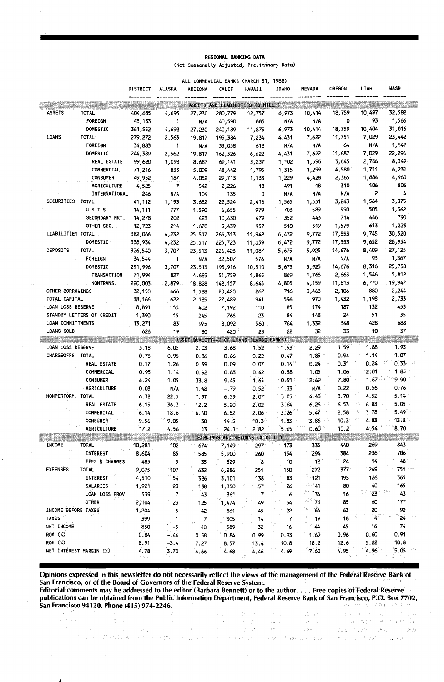#### REGIONAL BANKING DATA (Not Seasonally Adjusted, Preliminary Data)

|                     |                           |          |              |                |                | ALL COMMERCIAL BANKS (MARCH 31, 1988)   |                          |            |            |               |            |
|---------------------|---------------------------|----------|--------------|----------------|----------------|-----------------------------------------|--------------------------|------------|------------|---------------|------------|
|                     |                           | DISTRICT | ALASKA       | ARIZONA        | CALIF          | <b>HAWAII</b>                           | <b>IDAHO</b>             | NEVADA     | OREGON     | <b>UTAH</b>   | WASH       |
|                     |                           |          |              |                |                | ASSETS AND LIABILITIES (\$ MILL.)       |                          |            |            |               |            |
| <b>ASSETS</b>       | <b>TOTAL</b>              | 404,685  | 4,693        | 27,230         | 280,779        | 12,757                                  | 6,973                    | 10,414     | 18,759     | 10,497        | 32,582     |
|                     | FOREIGN                   | 43,133   | 1            | N/A            | 40,590         | 883                                     | N/A                      | N/A        | o          | 93            | 1,566      |
|                     | DOMESTIC                  | 361,552  | 4,692        | 27,230         | 240,189        | 11,875                                  | 6,973                    | 10,414     | 18,759     | 10,404        | 31,016     |
| LOANS               | <b>TOTAL</b>              | 279,272  | 2,563        | 19,817         | 195,384        | 7,234                                   | 4,431                    | 7,622      | 11,751     | 7,029         | 23,442     |
|                     | <b>FOREIGN</b>            | 34,883   | 1            | N/A            | 33,058         | 612                                     | n/a                      | N/A        | 64         | N/A           | 1,147      |
|                     | DOMESTIC                  | 244,389  | 2,562        | 19,817         | 162,326        | 6,622                                   | 4,431                    | 7,622      | 11,687     | 7,029         | 22,294     |
|                     | REAL ESTATE               | 99,620   | 1,098        | 8,687          | 69,141         | 3,237                                   | 1,102                    | 1,596      | 3,645      | 2,766         | 8,349      |
|                     | COMMERCIAL                | 71,216   | 833          | 5,009          | 48,442         | 1,795                                   | 1,315                    | 1,299      | 4,580      | 1,711         | 6,231      |
|                     | <b>CONSUMER</b>           | 49,952   | 187          | 4,052          | 29,713         | 1,133                                   | 1,229                    | 4,428      | 2,365      | 1,884         | 4,960      |
|                     | AGRICULTURE               | 4,525    | 7            | 542            | 2,226          | 18                                      | 491                      | 18         | 310        | 106           | 806        |
|                     | INTERNATIONAL             | 246      | N/A          | 104            | 135            | 0                                       | N/A                      | N/A        | N/A        | 2             | 4          |
| SECURITIES TOTAL    |                           | 41,112   | 1,193        | 3,682          | 22,524         | 2,416                                   | 1,565                    | 1,551      | 3,243      | 1,564         | 3,375      |
|                     | <b>U.S.T.S.</b>           | 14,111   | 777          | 1,590          | 6,655          | 979                                     | 703                      | 589        | 950        | 505           | 1,362      |
|                     | SECONDARY MKT.            | 14,278   | 202          | 423            | 10,430         | 479                                     | 352                      | 443        | 714        | 446           | 790        |
|                     | OTHER SEC.                | 12,723   | 214          | 1,670          | 5,439          | 957                                     | 510                      | 519        | 1,579      | 613           | 1,223      |
| LIABILITIES TOTAL   |                           | 382,066  | 4,232        | 25,517         | 266,313        | 11,942                                  | 6,472                    | 9,772      | 17,553     | 9,745         | 30,520     |
|                     | DOMESTIC                  | 338,934  | 4,232        | 25,517         | 225,723        | 11,059                                  | 6,472                    | 9,772      | 17,553     | 9,652         | 28,954     |
| DEPOSITS            | <b>TOTAL</b>              | 326,540  | 3,707        | 23,513         | 226,423        | 11,087                                  | 5,675                    | 5,925      | 14,676     | 8,409         | 27,125     |
|                     | <b>FOREIGN</b>            | 34,544   | 1            | N/A            | 32,507         | 576                                     | N/A                      | N/A        | N/A        | 93            | 1,367      |
|                     | DOMESTIC                  | 291,996  | 3,707        | 23,513         | 193,916        | 10,510                                  | 5,675                    | 5,925      | 14,676     | 8,316         | 25,758     |
|                     | TRANSACTION               | 71,994   | 827          | 4,685          | 51,759         | 1,865                                   | 869                      | 1,766      | 2,863      | 1,546         | 5,812      |
|                     | NONTRANS.                 | 220,003  | 2,879        | 18,828         | 142,157        | 8,645                                   | 4,805                    | 4,159      | 11,813     | 6,770         | 19,947     |
| OTHER BORROWINGS    |                           | 32,150   | 466          | 1,588          | 20,420         | 267                                     | 716                      | 3,463      | 2,106      | 880           | 2,244      |
| TOTAL CAPITAL       |                           | 38,166   | 622          | 2,185          | 27,489         | 941                                     | 596                      | 970        | 1,432      | 1,198         | 2,733      |
| LOAN LOSS RESERVE   |                           | 8,891    | 155          | 402            | 7,192          | 110                                     | 85                       | 174        | 187        | 132           | 453        |
|                     | STANDBY LETTERS OF CREDIT | 1,390    | 15           | 245            | 766            | 23                                      | 84                       | 148        | 24         | 51            | 35         |
| LOAN COMMITTMENTS   |                           | 13,271   | 83           | 975            | 8,092          | 560                                     | 764                      | 1,332      | 348        | 428           | 688        |
| LOANS SOLD          |                           | 626      | 19           | 30             | 420            | 23                                      | 22                       | 32         | 33         | 10            | 37         |
|                     |                           |          |              |                |                | ASSET QUALITY--% OF LOANS (LARGE BANKS) |                          |            |            |               |            |
| LOAN LOSS RESERVE   |                           | 3.18     | 6.05         | 2.03           | 3.68           | 1.52                                    | 1.93                     | 2.29       | 1.59       | 1.88<br>tha s | 1.93       |
| CHARGEOFFS TOTAL    |                           | 0.76     | 0.95         | 0.86           | 0.66           | 0.22                                    | 0.47                     | 1.85       | 0.94       | 1.14          | 1.07       |
|                     | REAL ESTATE               | 0.17     | 1.26         | 0.39           | 0.09           | 0.07                                    | 0.14                     | 0.24       | 0.31       | 0.24          | 0.33       |
|                     | <b>COMMERCIAL</b>         | 0.93     | 1.14         | 0.92           | 0.83           | 0.42                                    | 0.58                     | 1.05       | $-1.06$    | 2.01          | 1.85       |
|                     | <b>CONSUMER</b>           | 6.24     | 1.05         | 33.8           | 9.45           | $1.65^{\circ}$                          | $0.51 -$                 | 2.69       | 7.80       | 1.67          | 9.90       |
|                     | <b>AGRICULTURE</b>        | 0.03     | N/A          | 1.48           | $-.79$         | 0.52                                    | 1.33                     | N/A        | 0.22       | 0.56          | 0.76       |
| NONPERFORM. TOTAL   |                           | 6.32     | 22.5         | 7.97           | 6.59           | 2.07                                    | 3.05                     | 4.48       | $3.70 -$   | 4.52          | 5.14       |
|                     | REAL ESTATE               | 6.15     | 36.3         | 12.2           | 5.20           | 2.02                                    | 3.64                     | 6.26       | 6.53<br>49 | 6.83          | $5.05 -$   |
|                     | COMMERCIAL                | 6.14     | 18.6         | 6.40           | 6.52           | 2.06                                    | 3.26                     | 5.47       | 2.58       | 3.78          | $5.49 -$   |
|                     | <b>CONSUMER</b>           | 9.56     | 9.05         | 38             | 14.5           | $10.3^{\circ}$                          | 1.83                     | 3.86       | 10.3       | 4.83          | 13.8       |
|                     | <b>AGRICULTURE</b>        | 17.2     | 4.56         | 73             | $24.1^{\circ}$ | 2.82                                    | 5.65                     | 0.60       | 10.2       | 4.54          | 8.70       |
|                     |                           |          |              |                |                | EARNINGS AND RETURNS (\$ MILL.)         |                          |            |            |               |            |
| INCOME              | <b>TOTAL</b>              |          | 102          |                |                | 297                                     |                          | 335        | 440        | 269           | 843        |
|                     | <b>INTEREST</b>           | 10,281   | 85           | 674            | 7,149          |                                         | 173<br>154               | 294        | 384        | 236           | 706        |
|                     | <b>FEES &amp; CHARGES</b> | 8,604    |              | 585            | 5,900          | 260                                     |                          |            |            | 14            | 48         |
| <b>EXPENSES</b>     |                           | 485      | 5            | 35             | 329            | 8                                       | 10                       | 12         | 24         |               | 751        |
|                     | <b>TOTAL</b>              | 9,075    | 107          | 632            | 6,286          | 251                                     | 150                      | 272        | $377 -$    | 249           |            |
|                     | INTEREST                  | 4,510    | 54           | 326            | 3,101          | 138                                     | 83                       | 121        | 195        | 126           | 365        |
|                     | SALARIES                  | 1,921    | 23           | 138            | 1,350          | 57                                      | 26                       | - 41       | 80         | 40            | 165<br>96. |
|                     | LOAN LOSS PROV.           | 539      | $\mathbf{7}$ | 43             | 361            | 7                                       | 6                        | ్ శ        | 16         | 23            | 43         |
|                     | <b>OTHER</b>              | 2,104    | 23           | 125            | 1,474          | 49                                      | 34                       | <b>76</b>  | 85         | 60            | 177        |
| INCOME BEFORE TAXES |                           | 1,204    | -5           | 42             | 861            | 45                                      | 22                       | mar.<br>64 | 63         | 20            | 92         |
| <b>TAXES</b>        |                           | 399      | $\mathbf{1}$ | $\overline{7}$ | 305            | 14                                      | $\overline{\phantom{a}}$ | ં 19       | 18         | 4             | 24         |
| NET INCOME          |                           | 850      | $-5$         | 40             | 589            | 32                                      | 16                       | 20. A4     | 45         | 16            | 74         |
| <b>ROA (%)</b>      |                           | 0.84     | - 46         | 0.58           | 0.84           | 0.99                                    | 0.93                     | 1.69       | 0.96       | 0.60          | 0.91       |
| ROE (%)             |                           | 8.91     | $-3.4$       | 7.27           | 8.57           | 13.4                                    | 10.8                     | 18.2       | 12.6       | 5.22          | 10.8       |
|                     | NET INTEREST MARGIN (%)   | 4.78     | 3.70         | 4.66           | 4.68           | 4.46                                    | 4.69                     | 7.60       | 4.95       | 4.96          | 5.05       |
|                     |                           |          |              |                |                |                                         |                          |            |            |               |            |

Opinions expressed in this newsletter do not necessarily reflect the views of the management of the Federal Reserve Bank Of San Francisco, or of the Board of Governors of the Federal Reserve System.<br>Editorial comments may be addressed to the editor (Barbara Bennett) or to the author. . . . Free copies of Federal Reserve

publications can be obtained from the Public Information Department; Federal Reserve Bank of San Francisco, P.O;Box 7702, San Francisco 94120. Phone (415) 974-2246.<br>المتحد بالمركز المتحدة المركز المتحدة المتحدة المتحدة المتحدة المتحدة المتحدة المتحدة المتحدة المتحدة المتحدة<br>المتحدة المتحدة المتحدة المتحدة المتحدة المتحدة المتحدة المتحدة المت ya zan di shi za mara 

 $\sim$ 

 $\mathcal{L}_{\mathcal{A}}(\rho\lambda)^{1/2} \mathcal{L}_{\mathcal{A}}^{\mathcal{A}}(\rho\lambda^{1/2},\mathcal{A}^{\mathcal{B}}(\lambda)) = \pi \mathcal{L}_{\mathcal{A}}^{\mathcal{A}}(\rho\lambda)^{2}$